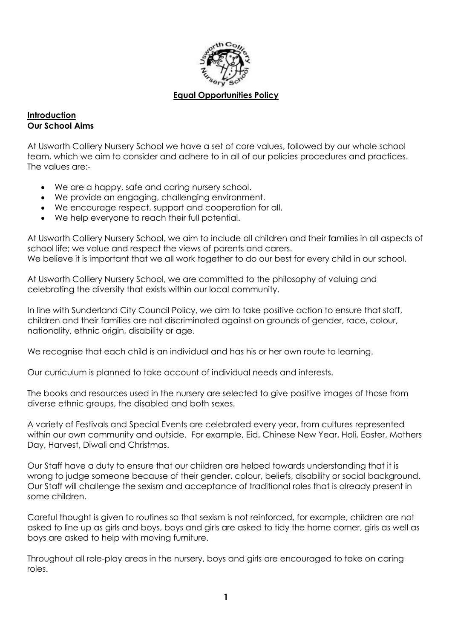

#### **Equal Opportunities Policy**

#### **Introduction Our School Aims**

At Usworth Colliery Nursery School we have a set of core values, followed by our whole school team, which we aim to consider and adhere to in all of our policies procedures and practices. The values are:-

- We are a happy, safe and caring nursery school.
- We provide an engaging, challenging environment.
- We encourage respect, support and cooperation for all.
- We help everyone to reach their full potential.

At Usworth Colliery Nursery School, we aim to include all children and their families in all aspects of school life; we value and respect the views of parents and carers. We believe it is important that we all work together to do our best for every child in our school.

At Usworth Colliery Nursery School, we are committed to the philosophy of valuing and celebrating the diversity that exists within our local community.

In line with Sunderland City Council Policy, we aim to take positive action to ensure that staff, children and their families are not discriminated against on grounds of gender, race, colour, nationality, ethnic origin, disability or age.

We recognise that each child is an individual and has his or her own route to learning.

Our curriculum is planned to take account of individual needs and interests.

The books and resources used in the nursery are selected to give positive images of those from diverse ethnic groups, the disabled and both sexes.

A variety of Festivals and Special Events are celebrated every year, from cultures represented within our own community and outside. For example, Eid, Chinese New Year, Holi, Easter, Mothers Day, Harvest, Diwali and Christmas.

Our Staff have a duty to ensure that our children are helped towards understanding that it is wrong to judge someone because of their gender, colour, beliefs, disability or social background. Our Staff will challenge the sexism and acceptance of traditional roles that is already present in some children.

Careful thought is given to routines so that sexism is not reinforced, for example, children are not asked to line up as girls and boys, boys and girls are asked to tidy the home corner, girls as well as boys are asked to help with moving furniture.

Throughout all role-play areas in the nursery, boys and girls are encouraged to take on caring roles.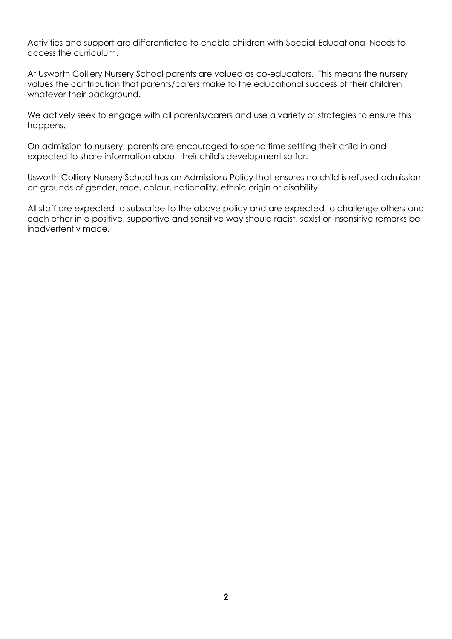Activities and support are differentiated to enable children with Special Educational Needs to access the curriculum.

At Usworth Colliery Nursery School parents are valued as co-educators. This means the nursery values the contribution that parents/carers make to the educational success of their children whatever their background.

We actively seek to engage with all parents/carers and use a variety of strategies to ensure this happens.

On admission to nursery, parents are encouraged to spend time settling their child in and expected to share information about their child's development so far.

Usworth Colliery Nursery School has an Admissions Policy that ensures no child is refused admission on grounds of gender, race, colour, nationality, ethnic origin or disability.

All staff are expected to subscribe to the above policy and are expected to challenge others and each other in a positive, supportive and sensitive way should racist, sexist or insensitive remarks be inadvertently made.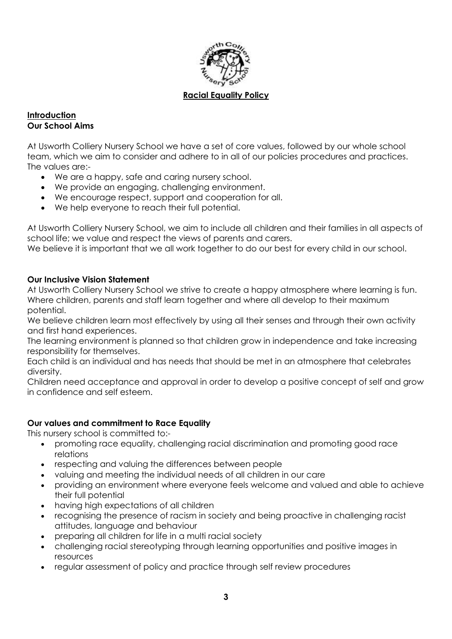

#### **Racial Equality Policy**

#### **Introduction Our School Aims**

At Usworth Colliery Nursery School we have a set of core values, followed by our whole school team, which we aim to consider and adhere to in all of our policies procedures and practices. The values are:-

- We are a happy, safe and caring nursery school.
- We provide an engaging, challenging environment.
- We encourage respect, support and cooperation for all.
- We help everyone to reach their full potential.

At Usworth Colliery Nursery School, we aim to include all children and their families in all aspects of school life; we value and respect the views of parents and carers.

We believe it is important that we all work together to do our best for every child in our school.

### **Our Inclusive Vision Statement**

At Usworth Colliery Nursery School we strive to create a happy atmosphere where learning is fun. Where children, parents and staff learn together and where all develop to their maximum potential.

We believe children learn most effectively by using all their senses and through their own activity and first hand experiences.

The learning environment is planned so that children grow in independence and take increasing responsibility for themselves.

Each child is an individual and has needs that should be met in an atmosphere that celebrates diversity.

Children need acceptance and approval in order to develop a positive concept of self and grow in confidence and self esteem.

### **Our values and commitment to Race Equality**

This nursery school is committed to:-

- promoting race equality, challenging racial discrimination and promoting good race relations
- respecting and valuing the differences between people
- valuing and meeting the individual needs of all children in our care
- providing an environment where everyone feels welcome and valued and able to achieve their full potential
- having high expectations of all children
- recognising the presence of racism in society and being proactive in challenging racist attitudes, language and behaviour
- preparing all children for life in a multi racial society
- challenging racial stereotyping through learning opportunities and positive images in resources
- regular assessment of policy and practice through self review procedures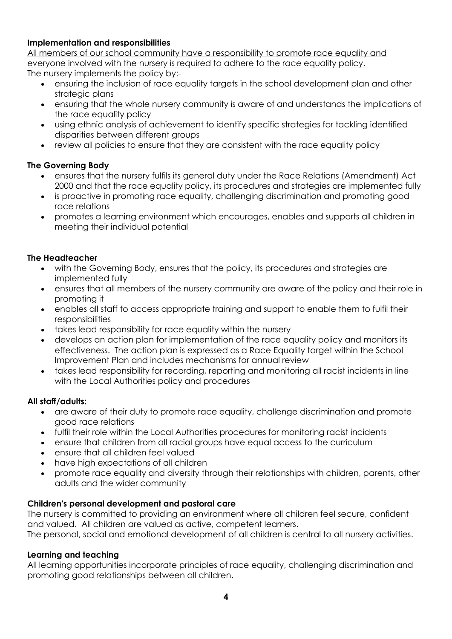### **Implementation and responsibilities**

All members of our school community have a responsibility to promote race equality and everyone involved with the nursery is required to adhere to the race equality policy. The nursery implements the policy by:-

- ensuring the inclusion of race equality targets in the school development plan and other strategic plans
- ensuring that the whole nursery community is aware of and understands the implications of the race equality policy
- using ethnic analysis of achievement to identify specific strategies for tackling identified disparities between different groups
- review all policies to ensure that they are consistent with the race equality policy

# **The Governing Body**

- ensures that the nursery fulfils its general duty under the Race Relations (Amendment) Act 2000 and that the race equality policy, its procedures and strategies are implemented fully
- is proactive in promoting race equality, challenging discrimination and promoting good race relations
- promotes a learning environment which encourages, enables and supports all children in meeting their individual potential

## **The Headteacher**

- with the Governing Body, ensures that the policy, its procedures and strategies are implemented fully
- ensures that all members of the nursery community are aware of the policy and their role in promoting it
- enables all staff to access appropriate training and support to enable them to fulfil their responsibilities
- takes lead responsibility for race equality within the nursery
- develops an action plan for implementation of the race equality policy and monitors its effectiveness. The action plan is expressed as a Race Equality target within the School Improvement Plan and includes mechanisms for annual review
- takes lead responsibility for recording, reporting and monitoring all racist incidents in line with the Local Authorities policy and procedures

## **All staff/adults:**

- are aware of their duty to promote race equality, challenge discrimination and promote good race relations
- fulfil their role within the Local Authorities procedures for monitoring racist incidents
- ensure that children from all racial groups have equal access to the curriculum
- ensure that all children feel valued
- have high expectations of all children
- promote race equality and diversity through their relationships with children, parents, other adults and the wider community

# **Children's personal development and pastoral care**

The nursery is committed to providing an environment where all children feel secure, confident and valued. All children are valued as active, competent learners.

The personal, social and emotional development of all children is central to all nursery activities.

## **Learning and teaching**

All learning opportunities incorporate principles of race equality, challenging discrimination and promoting good relationships between all children.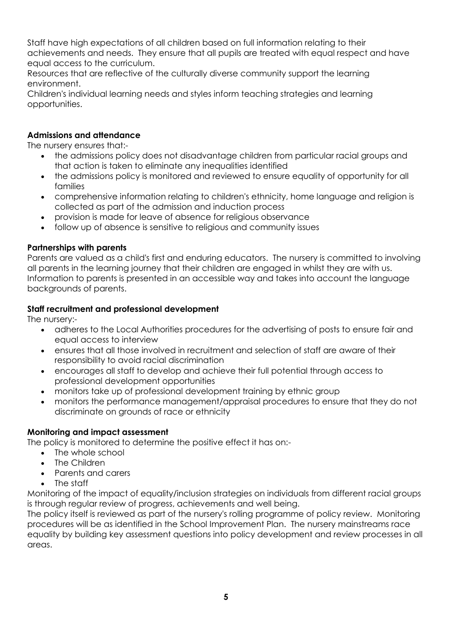Staff have high expectations of all children based on full information relating to their achievements and needs. They ensure that all pupils are treated with equal respect and have equal access to the curriculum.

Resources that are reflective of the culturally diverse community support the learning environment.

Children's individual learning needs and styles inform teaching strategies and learning opportunities.

## **Admissions and attendance**

The nursery ensures that:-

- the admissions policy does not disadvantage children from particular racial groups and that action is taken to eliminate any inequalities identified
- the admissions policy is monitored and reviewed to ensure equality of opportunity for all families
- comprehensive information relating to children's ethnicity, home language and religion is collected as part of the admission and induction process
- provision is made for leave of absence for religious observance
- follow up of absence is sensitive to religious and community issues

### **Partnerships with parents**

Parents are valued as a child's first and enduring educators. The nursery is committed to involving all parents in the learning journey that their children are engaged in whilst they are with us. Information to parents is presented in an accessible way and takes into account the language backgrounds of parents.

### **Staff recruitment and professional development**

The nursery:-

- adheres to the Local Authorities procedures for the advertising of posts to ensure fair and equal access to interview
- ensures that all those involved in recruitment and selection of staff are aware of their responsibility to avoid racial discrimination
- encourages all staff to develop and achieve their full potential through access to professional development opportunities
- monitors take up of professional development training by ethnic group
- monitors the performance management/appraisal procedures to ensure that they do not discriminate on grounds of race or ethnicity

### **Monitoring and impact assessment**

The policy is monitored to determine the positive effect it has on:-

- The whole school
- The Children
- Parents and carers
- The staff

Monitoring of the impact of equality/inclusion strategies on individuals from different racial groups is through regular review of progress, achievements and well being.

The policy itself is reviewed as part of the nursery's rolling programme of policy review. Monitoring procedures will be as identified in the School Improvement Plan. The nursery mainstreams race equality by building key assessment questions into policy development and review processes in all areas.